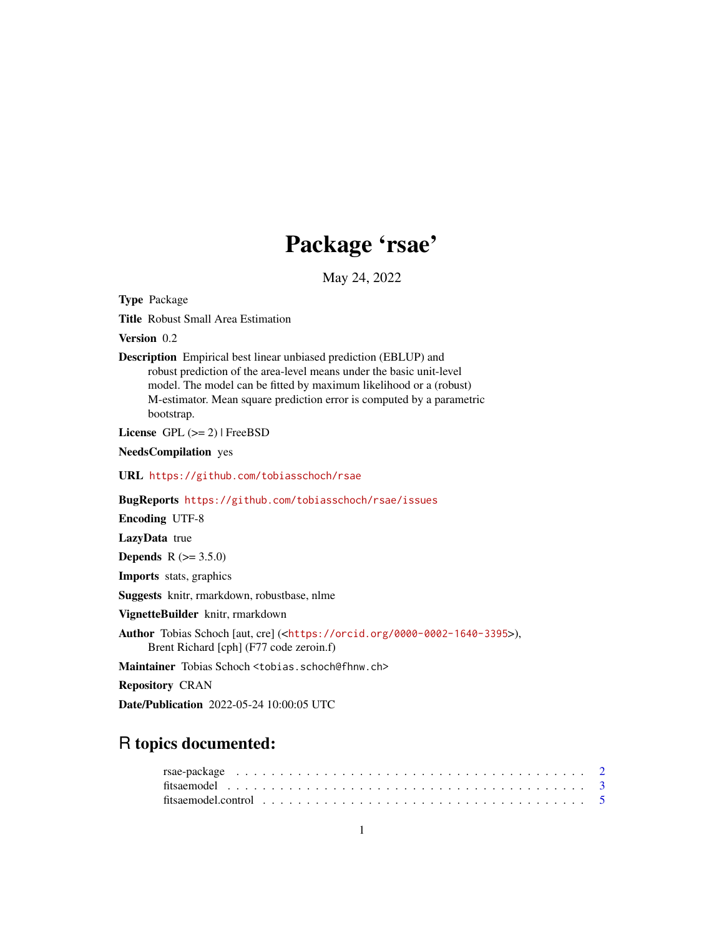# Package 'rsae'

May 24, 2022

<span id="page-0-0"></span>Type Package

Title Robust Small Area Estimation

Version 0.2

Description Empirical best linear unbiased prediction (EBLUP) and robust prediction of the area-level means under the basic unit-level model. The model can be fitted by maximum likelihood or a (robust) M-estimator. Mean square prediction error is computed by a parametric bootstrap.

License GPL  $(>= 2)$  | FreeBSD

NeedsCompilation yes

URL <https://github.com/tobiasschoch/rsae>

BugReports <https://github.com/tobiasschoch/rsae/issues>

Encoding UTF-8

LazyData true

**Depends**  $R (= 3.5.0)$ 

Imports stats, graphics

Suggests knitr, rmarkdown, robustbase, nlme

VignetteBuilder knitr, rmarkdown

Author Tobias Schoch [aut, cre] (<<https://orcid.org/0000-0002-1640-3395>>), Brent Richard [cph] (F77 code zeroin.f)

Maintainer Tobias Schoch <tobias.schoch@fhnw.ch>

Repository CRAN

Date/Publication 2022-05-24 10:00:05 UTC

# R topics documented: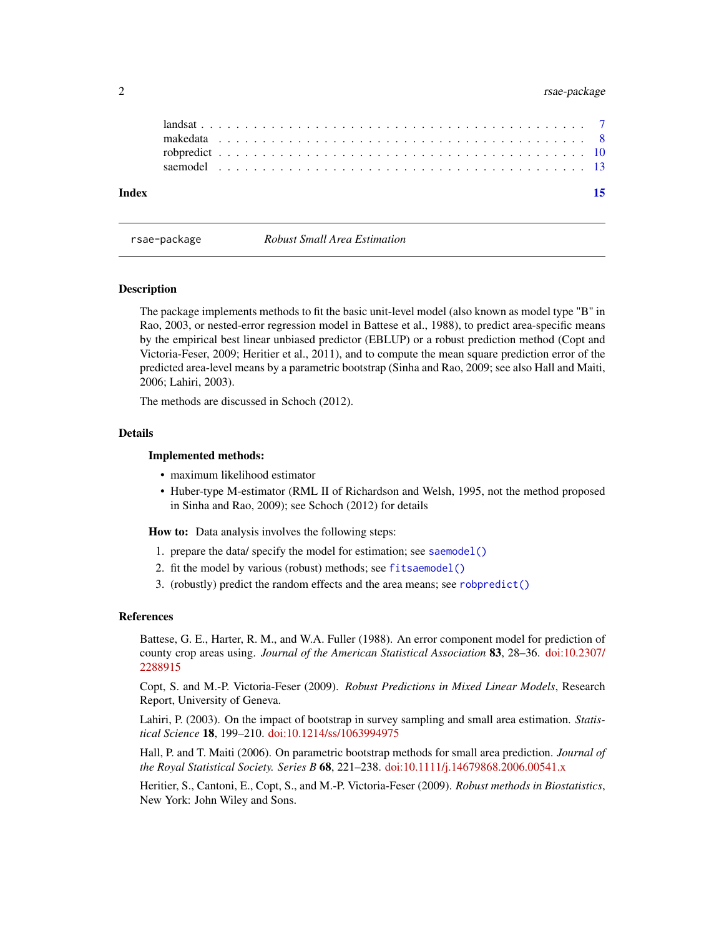# <span id="page-1-0"></span>2 rsae-package

| Index |                                                                                                       |  |  |  |  |  |  |  |  |  |  |  |  |  |  |  |  |  |  |  |  |  |  |
|-------|-------------------------------------------------------------------------------------------------------|--|--|--|--|--|--|--|--|--|--|--|--|--|--|--|--|--|--|--|--|--|--|
|       |                                                                                                       |  |  |  |  |  |  |  |  |  |  |  |  |  |  |  |  |  |  |  |  |  |  |
|       |                                                                                                       |  |  |  |  |  |  |  |  |  |  |  |  |  |  |  |  |  |  |  |  |  |  |
|       | makedata $\ldots \ldots \ldots \ldots \ldots \ldots \ldots \ldots \ldots \ldots \ldots \ldots \ldots$ |  |  |  |  |  |  |  |  |  |  |  |  |  |  |  |  |  |  |  |  |  |  |
|       |                                                                                                       |  |  |  |  |  |  |  |  |  |  |  |  |  |  |  |  |  |  |  |  |  |  |

rsae-package *Robust Small Area Estimation*

#### **Description**

The package implements methods to fit the basic unit-level model (also known as model type "B" in Rao, 2003, or nested-error regression model in Battese et al., 1988), to predict area-specific means by the empirical best linear unbiased predictor (EBLUP) or a robust prediction method (Copt and Victoria-Feser, 2009; Heritier et al., 2011), and to compute the mean square prediction error of the predicted area-level means by a parametric bootstrap (Sinha and Rao, 2009; see also Hall and Maiti, 2006; Lahiri, 2003).

The methods are discussed in Schoch (2012).

# Details

# Implemented methods:

- maximum likelihood estimator
- Huber-type M-estimator (RML II of Richardson and Welsh, 1995, not the method proposed in Sinha and Rao, 2009); see Schoch (2012) for details

How to: Data analysis involves the following steps:

- 1. prepare the data/ specify the model for estimation; see [saemodel\(\)](#page-12-1)
- 2. fit the model by various (robust) methods; see [fitsaemodel\(\)](#page-2-1)
- 3. (robustly) predict the random effects and the area means; see [robpredict\(\)](#page-9-1)

#### References

Battese, G. E., Harter, R. M., and W.A. Fuller (1988). An error component model for prediction of county crop areas using. *Journal of the American Statistical Association* 83, 28–36. [doi:10.2307/](https://doi.org/10.2307/2288915) [2288915](https://doi.org/10.2307/2288915)

Copt, S. and M.-P. Victoria-Feser (2009). *Robust Predictions in Mixed Linear Models*, Research Report, University of Geneva.

Lahiri, P. (2003). On the impact of bootstrap in survey sampling and small area estimation. *Statistical Science* 18, 199–210. [doi:10.1214/ss/1063994975](https://doi.org/10.1214/ss/1063994975)

Hall, P. and T. Maiti (2006). On parametric bootstrap methods for small area prediction. *Journal of the Royal Statistical Society. Series B* 68, 221–238. [doi:10.1111/j.14679868.2006.00541.x](https://doi.org/10.1111/j.1467-9868.2006.00541.x)

Heritier, S., Cantoni, E., Copt, S., and M.-P. Victoria-Feser (2009). *Robust methods in Biostatistics*, New York: John Wiley and Sons.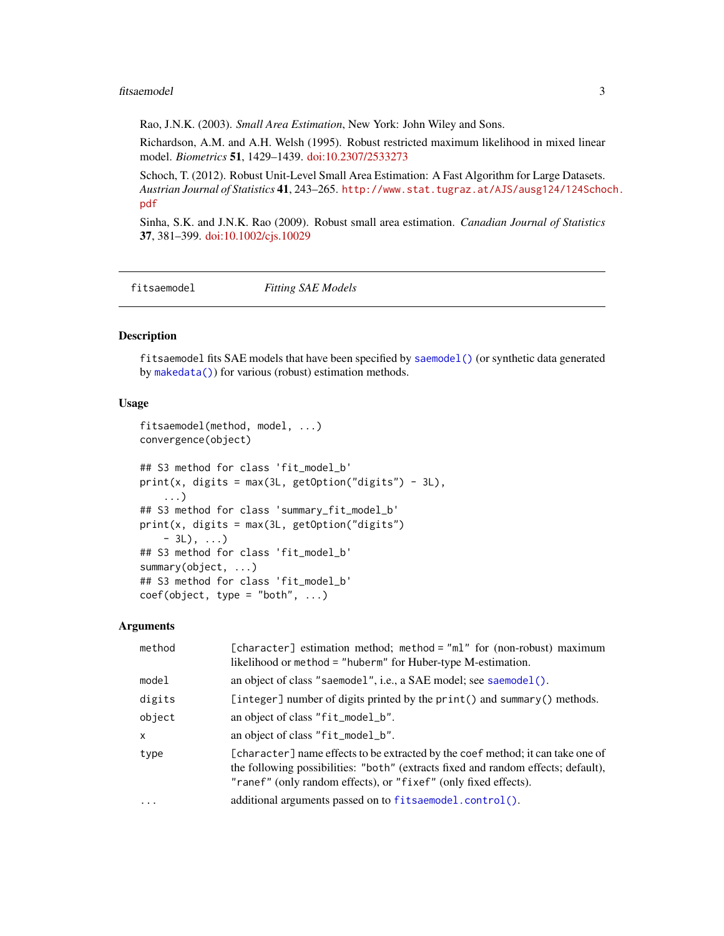#### <span id="page-2-0"></span>fitsaemodel 3

Rao, J.N.K. (2003). *Small Area Estimation*, New York: John Wiley and Sons.

Richardson, A.M. and A.H. Welsh (1995). Robust restricted maximum likelihood in mixed linear model. *Biometrics* 51, 1429–1439. [doi:10.2307/2533273](https://doi.org/10.2307/2533273)

Schoch, T. (2012). Robust Unit-Level Small Area Estimation: A Fast Algorithm for Large Datasets. *Austrian Journal of Statistics* 41, 243–265. [http://www.stat.tugraz.at/AJS/ausg124/124Scho](http://www.stat.tugraz.at/AJS/ausg124/124Schoch.pdf)ch. [pdf](http://www.stat.tugraz.at/AJS/ausg124/124Schoch.pdf)

Sinha, S.K. and J.N.K. Rao (2009). Robust small area estimation. *Canadian Journal of Statistics* 37, 381–399. [doi:10.1002/cjs.10029](https://doi.org/10.1002/cjs.10029)

<span id="page-2-1"></span>fitsaemodel *Fitting SAE Models*

# Description

fitsaemodel fits SAE models that have been specified by [saemodel\(\)](#page-12-1) (or synthetic data generated by [makedata\(\)](#page-7-1)) for various (robust) estimation methods.

# Usage

```
fitsaemodel(method, model, ...)
convergence(object)
## S3 method for class 'fit_model_b'
print(x, \text{ digits} = max(3L, \text{ getOption("digits")} - 3L),...)
## S3 method for class 'summary_fit_model_b'
print(x, digits = max(3L, getOption("digits")
    -3L), \ldots## S3 method for class 'fit_model_b'
summary(object, ...)
## S3 method for class 'fit_model_b'
coef(object, type = "both", ...)
```

| method       | [character] estimation method; method = "ml" for (non-robust) maximum<br>likelihood or method = "huberm" for Huber-type M-estimation.                                                                                                   |
|--------------|-----------------------------------------------------------------------------------------------------------------------------------------------------------------------------------------------------------------------------------------|
| model        | an object of class "saemodel", i.e., a SAE model; see saemodel().                                                                                                                                                                       |
| digits       | [integer] number of digits printed by the print() and summary() methods.                                                                                                                                                                |
| object       | an object of class "fit_model_b".                                                                                                                                                                                                       |
| $\mathsf{x}$ | an object of class "fit_model_b".                                                                                                                                                                                                       |
| type         | [character] name effects to be extracted by the coef method; it can take one of<br>the following possibilities: "both" (extracts fixed and random effects; default),<br>"ranef" (only random effects), or "fixef" (only fixed effects). |
| $\ddotsc$    | additional arguments passed on to fitsaemodel.control().                                                                                                                                                                                |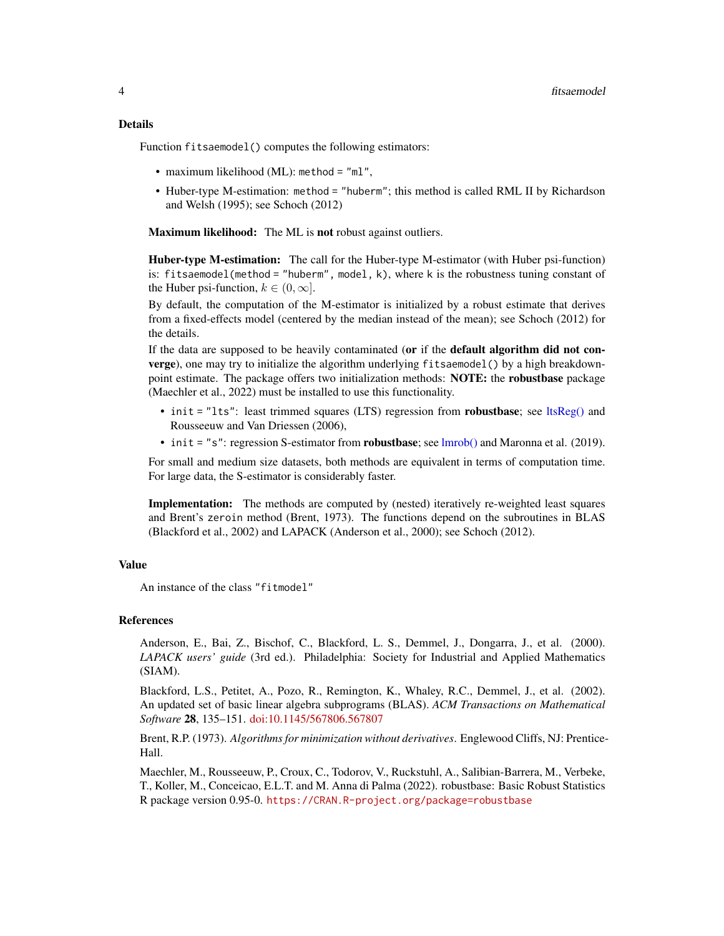# <span id="page-3-0"></span>Details

Function fitsaemodel() computes the following estimators:

- maximum likelihood (ML): method = "ml",
- Huber-type M-estimation: method = "huberm"; this method is called RML II by Richardson and Welsh (1995); see Schoch (2012)

Maximum likelihood: The ML is not robust against outliers.

Huber-type M-estimation: The call for the Huber-type M-estimator (with Huber psi-function) is: fitsaemodel(method = "huberm", model, k), where k is the robustness tuning constant of the Huber psi-function,  $k \in (0, \infty]$ .

By default, the computation of the M-estimator is initialized by a robust estimate that derives from a fixed-effects model (centered by the median instead of the mean); see Schoch (2012) for the details.

If the data are supposed to be heavily contaminated (or if the **default algorithm did not con**verge), one may try to initialize the algorithm underlying fitsaemodel() by a high breakdownpoint estimate. The package offers two initialization methods: NOTE: the robustbase package (Maechler et al., 2022) must be installed to use this functionality.

- init = "lts": least trimmed squares (LTS) regression from **robustbase**; see [ltsReg\(\)](#page-0-0) and Rousseeuw and Van Driessen (2006),
- init = "s": regression S-estimator from **robustbase**; see [lmrob\(\)](#page-0-0) and Maronna et al. (2019).

For small and medium size datasets, both methods are equivalent in terms of computation time. For large data, the S-estimator is considerably faster.

Implementation: The methods are computed by (nested) iteratively re-weighted least squares and Brent's zeroin method (Brent, 1973). The functions depend on the subroutines in BLAS (Blackford et al., 2002) and LAPACK (Anderson et al., 2000); see Schoch (2012).

# Value

An instance of the class "fitmodel"

#### References

Anderson, E., Bai, Z., Bischof, C., Blackford, L. S., Demmel, J., Dongarra, J., et al. (2000). *LAPACK users' guide* (3rd ed.). Philadelphia: Society for Industrial and Applied Mathematics (SIAM).

Blackford, L.S., Petitet, A., Pozo, R., Remington, K., Whaley, R.C., Demmel, J., et al. (2002). An updated set of basic linear algebra subprograms (BLAS). *ACM Transactions on Mathematical Software* 28, 135–151. [doi:10.1145/567806.567807](https://doi.org/10.1145/567806.567807)

Brent, R.P. (1973). *Algorithms for minimization without derivatives*. Englewood Cliffs, NJ: Prentice-Hall.

Maechler, M., Rousseeuw, P., Croux, C., Todorov, V., Ruckstuhl, A., Salibian-Barrera, M., Verbeke, T., Koller, M., Conceicao, E.L.T. and M. Anna di Palma (2022). robustbase: Basic Robust Statistics R package version 0.95-0. <https://CRAN.R-project.org/package=robustbase>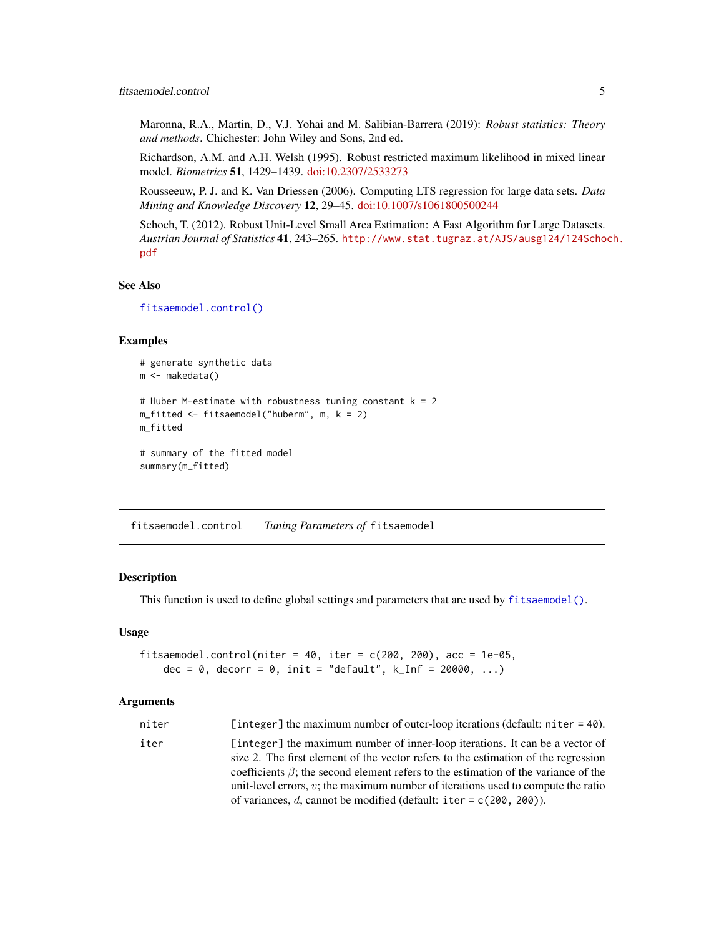<span id="page-4-0"></span>Maronna, R.A., Martin, D., V.J. Yohai and M. Salibian-Barrera (2019): *Robust statistics: Theory and methods*. Chichester: John Wiley and Sons, 2nd ed.

Richardson, A.M. and A.H. Welsh (1995). Robust restricted maximum likelihood in mixed linear model. *Biometrics* 51, 1429–1439. [doi:10.2307/2533273](https://doi.org/10.2307/2533273)

Rousseeuw, P. J. and K. Van Driessen (2006). Computing LTS regression for large data sets. *Data Mining and Knowledge Discovery* 12, 29–45. [doi:10.1007/s1061800500244](https://doi.org/10.1007/s10618-005-0024-4)

Schoch, T. (2012). Robust Unit-Level Small Area Estimation: A Fast Algorithm for Large Datasets. *Austrian Journal of Statistics* 41, 243–265. [http://www.stat.tugraz.at/AJS/ausg124/124Scho](http://www.stat.tugraz.at/AJS/ausg124/124Schoch.pdf)ch. [pdf](http://www.stat.tugraz.at/AJS/ausg124/124Schoch.pdf)

# See Also

```
fitsaemodel.control()
```
# Examples

```
# generate synthetic data
m <- makedata()
# Huber M-estimate with robustness tuning constant k = 2
m_fitted <- fitsaemodel("huberm", m, k = 2)
m_fitted
# summary of the fitted model
```

```
summary(m_fitted)
```
<span id="page-4-1"></span>fitsaemodel.control *Tuning Parameters of* fitsaemodel

# Description

This function is used to define global settings and parameters that are used by [fitsaemodel\(\)](#page-2-1).

#### Usage

```
fitsaemodel.control(niter = 40, iter = c(200, 200), acc = 1e-05,
    dec = 0, decorr = 0, init = "default", k_{\text{I}}nf = 20000, ...)
```

```
niter [integer] the maximum number of outer-loop iterations (default: niter = 40).
iter [integer] the maximum number of inner-loop iterations. It can be a vector of
                  size 2. The first element of the vector refers to the estimation of the regression
                  coefficients \beta; the second element refers to the estimation of the variance of the
                  unit-level errors, v; the maximum number of iterations used to compute the ratio
                  of variances, d, cannot be modified (default: iter = c(200, 200)).
```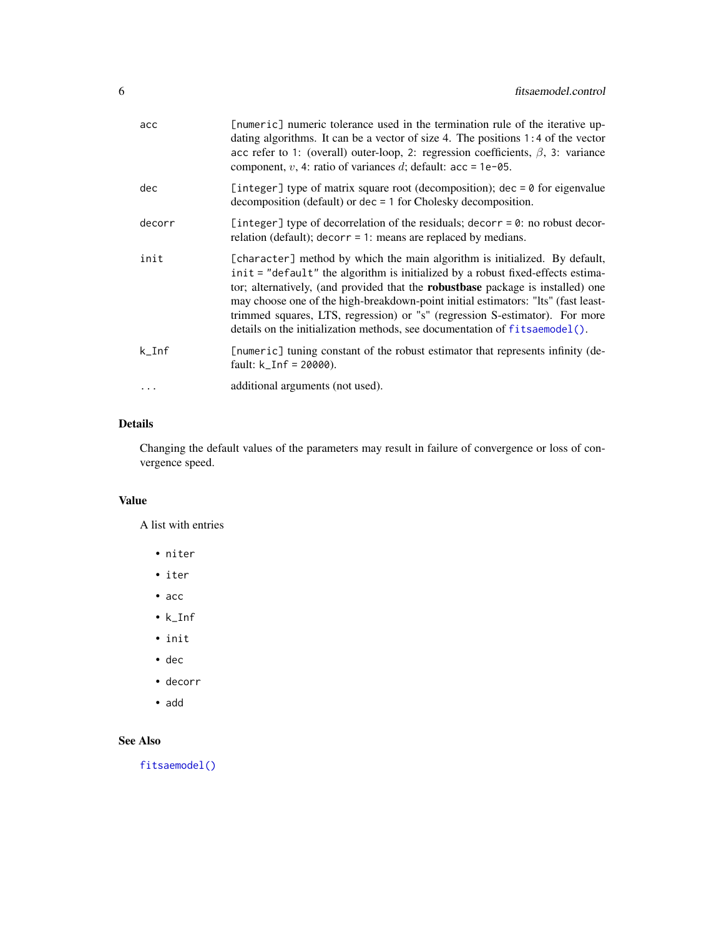<span id="page-5-0"></span>

| acc       | [numeric] numeric tolerance used in the termination rule of the iterative up-<br>dating algorithms. It can be a vector of size 4. The positions 1:4 of the vector<br>acc refer to 1: (overall) outer-loop, 2: regression coefficients, $\beta$ , 3: variance<br>component, v, 4: ratio of variances d; default: $acc = 1e-05$ .                                                                                                                                                                                   |
|-----------|-------------------------------------------------------------------------------------------------------------------------------------------------------------------------------------------------------------------------------------------------------------------------------------------------------------------------------------------------------------------------------------------------------------------------------------------------------------------------------------------------------------------|
| dec       | [integer] type of matrix square root (decomposition); $\text{dec} = \emptyset$ for eigenvalue<br>$decomposition$ (default) or $dec = 1$ for Cholesky decomposition.                                                                                                                                                                                                                                                                                                                                               |
| decorr    | [integer] type of decorrelation of the residuals; decorr = 0: no robust decor-<br>relation (default); $decorr = 1$ : means are replaced by medians.                                                                                                                                                                                                                                                                                                                                                               |
| init      | [character] method by which the main algorithm is initialized. By default,<br>init = "default" the algorithm is initialized by a robust fixed-effects estima-<br>tor; alternatively, (and provided that the <b>robustbase</b> package is installed) one<br>may choose one of the high-breakdown-point initial estimators: "Its" (fast least-<br>trimmed squares, LTS, regression) or "s" (regression S-estimator). For more<br>details on the initialization methods, see documentation of $f$ its aemodel $()$ . |
| $k_I$ Inf | [numeric] tuning constant of the robust estimator that represents infinity (de-<br>fault: $k_{I}$ Inf = 20000).                                                                                                                                                                                                                                                                                                                                                                                                   |
|           | additional arguments (not used).                                                                                                                                                                                                                                                                                                                                                                                                                                                                                  |

# Details

Changing the default values of the parameters may result in failure of convergence or loss of convergence speed.

# Value

A list with entries

- niter
- iter
- acc
- k\_Inf
- init
- dec
- decorr
- add

# See Also

[fitsaemodel\(\)](#page-2-1)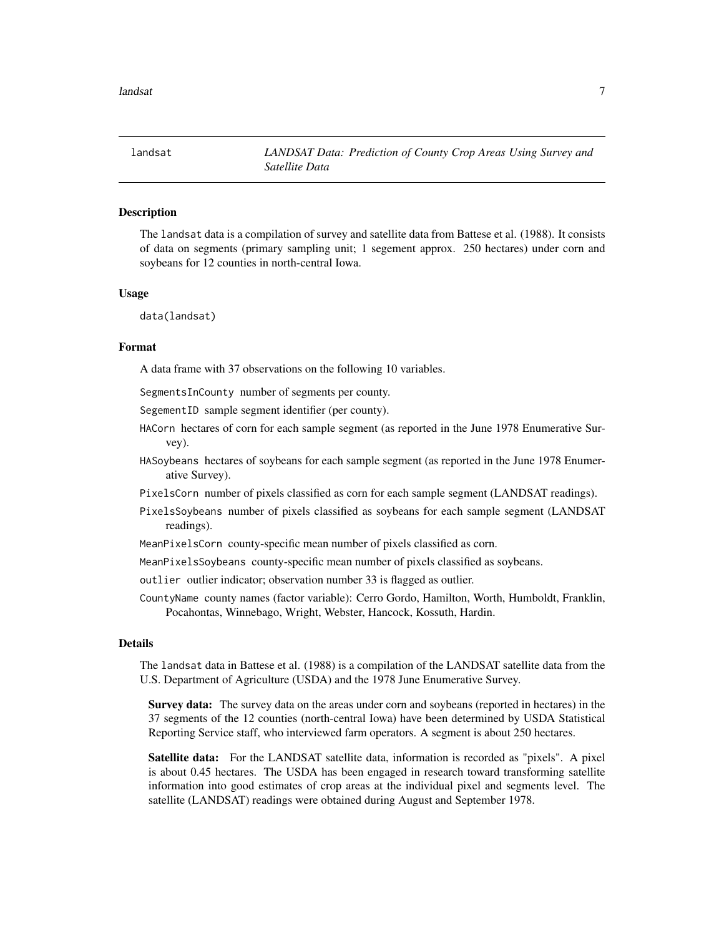<span id="page-6-0"></span>

# **Description**

The landsat data is a compilation of survey and satellite data from Battese et al. (1988). It consists of data on segments (primary sampling unit; 1 segement approx. 250 hectares) under corn and soybeans for 12 counties in north-central Iowa.

# Usage

data(landsat)

# Format

A data frame with 37 observations on the following 10 variables.

SegmentsInCounty number of segments per county.

SegementID sample segment identifier (per county).

- HACorn hectares of corn for each sample segment (as reported in the June 1978 Enumerative Survey).
- HASoybeans hectares of soybeans for each sample segment (as reported in the June 1978 Enumerative Survey).
- PixelsCorn number of pixels classified as corn for each sample segment (LANDSAT readings).
- PixelsSoybeans number of pixels classified as soybeans for each sample segment (LANDSAT readings).
- MeanPixelsCorn county-specific mean number of pixels classified as corn.
- MeanPixelsSoybeans county-specific mean number of pixels classified as soybeans.

outlier outlier indicator; observation number 33 is flagged as outlier.

CountyName county names (factor variable): Cerro Gordo, Hamilton, Worth, Humboldt, Franklin, Pocahontas, Winnebago, Wright, Webster, Hancock, Kossuth, Hardin.

# Details

The landsat data in Battese et al. (1988) is a compilation of the LANDSAT satellite data from the U.S. Department of Agriculture (USDA) and the 1978 June Enumerative Survey.

Survey data: The survey data on the areas under corn and soybeans (reported in hectares) in the 37 segments of the 12 counties (north-central Iowa) have been determined by USDA Statistical Reporting Service staff, who interviewed farm operators. A segment is about 250 hectares.

Satellite data: For the LANDSAT satellite data, information is recorded as "pixels". A pixel is about 0.45 hectares. The USDA has been engaged in research toward transforming satellite information into good estimates of crop areas at the individual pixel and segments level. The satellite (LANDSAT) readings were obtained during August and September 1978.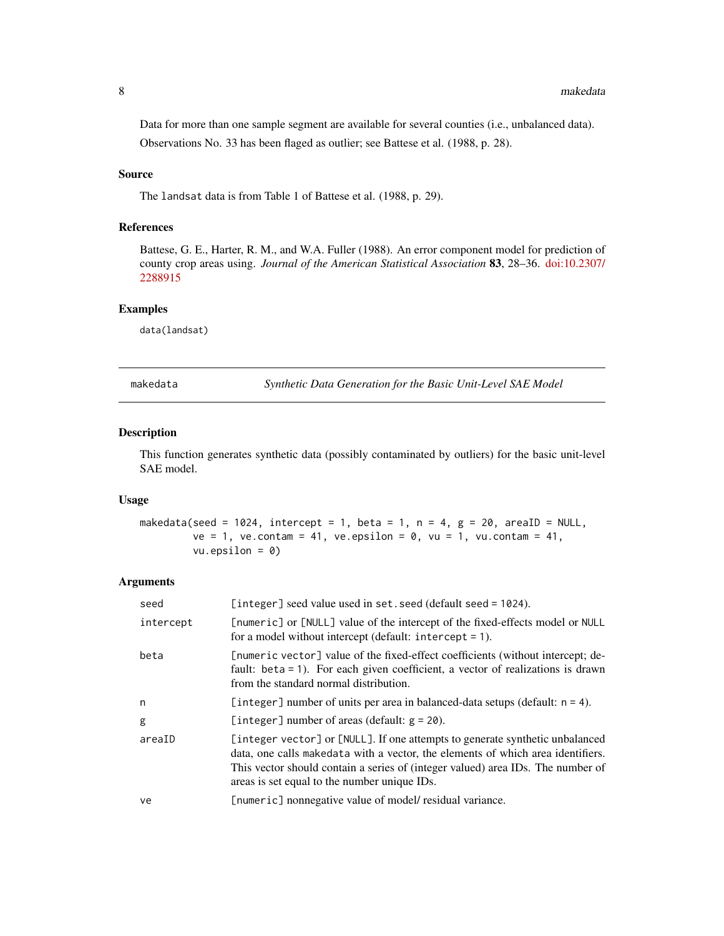<span id="page-7-0"></span>Data for more than one sample segment are available for several counties (i.e., unbalanced data). Observations No. 33 has been flaged as outlier; see Battese et al. (1988, p. 28).

# Source

The landsat data is from Table 1 of Battese et al. (1988, p. 29).

# References

Battese, G. E., Harter, R. M., and W.A. Fuller (1988). An error component model for prediction of county crop areas using. *Journal of the American Statistical Association* 83, 28–36. [doi:10.2307/](https://doi.org/10.2307/2288915) [2288915](https://doi.org/10.2307/2288915)

# Examples

data(landsat)

<span id="page-7-1"></span>makedata *Synthetic Data Generation for the Basic Unit-Level SAE Model*

# Description

This function generates synthetic data (possibly contaminated by outliers) for the basic unit-level SAE model.

# Usage

```
makedata(seed = 1024, intercept = 1, beta = 1, n = 4, g = 20, areaID = NULL,
         ve = 1, ve.contam = 41, ve.epsilon = 0, vu = 1, vu.contam = 41,
         vu. epsilon on = 0)
```

| seed      | [integer] seed value used in set. seed (default seed = 1024).                                                                                                                                                                                                                                      |
|-----------|----------------------------------------------------------------------------------------------------------------------------------------------------------------------------------------------------------------------------------------------------------------------------------------------------|
| intercept | [numeric] or [NULL] value of the intercept of the fixed-effects model or NULL<br>for a model without intercept (default: intercept $= 1$ ).                                                                                                                                                        |
| beta      | [numeric vector] value of the fixed-effect coefficients (without intercept; de-<br>fault: beta = 1). For each given coefficient, a vector of realizations is drawn<br>from the standard normal distribution.                                                                                       |
| n         | [integer] number of units per area in balanced-data setups (default: $n = 4$ ).                                                                                                                                                                                                                    |
| g         | [integer] number of areas (default: $g = 20$ ).                                                                                                                                                                                                                                                    |
| areaID    | [integer vector] or [NULL]. If one attempts to generate synthetic unbalanced<br>data, one calls makedata with a vector, the elements of which area identifiers.<br>This vector should contain a series of (integer valued) area IDs. The number of<br>areas is set equal to the number unique IDs. |
| ve        | [numeric] nonnegative value of model/ residual variance.                                                                                                                                                                                                                                           |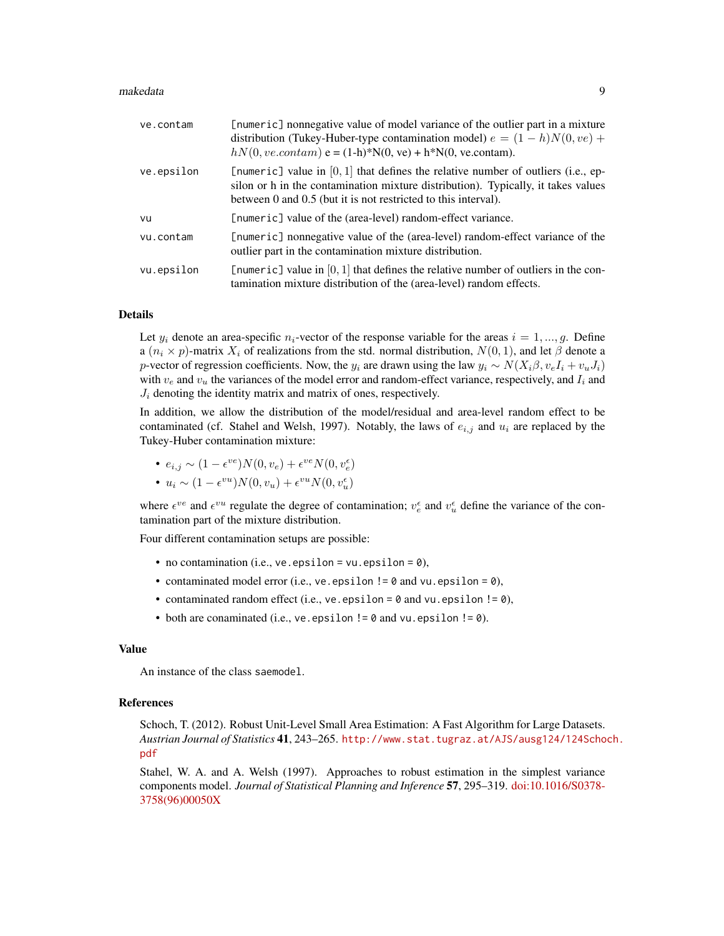#### makedata 9

| ve.contam  | [numeric] nonnegative value of model variance of the outlier part in a mixture<br>distribution (Tukey-Huber-type contamination model) $e = (1 - h)N(0, ve) +$<br>$hN(0, ve.contam)$ e = (1-h)*N(0, ve) + h*N(0, ve.contam).                |
|------------|--------------------------------------------------------------------------------------------------------------------------------------------------------------------------------------------------------------------------------------------|
| ve.epsilon | [numeric] value in $[0, 1]$ that defines the relative number of outliers (i.e., ep-<br>silon or h in the contamination mixture distribution). Typically, it takes values<br>between 0 and 0.5 (but it is not restricted to this interval). |
| vu         | [numeric] value of the (area-level) random-effect variance.                                                                                                                                                                                |
| vu.contam  | [numeric] nonnegative value of the (area-level) random-effect variance of the<br>outlier part in the contamination mixture distribution.                                                                                                   |
| vu.epsilon | [numeric] value in $[0, 1]$ that defines the relative number of outliers in the con-<br>tamination mixture distribution of the (area-level) random effects.                                                                                |

# Details

Let  $y_i$  denote an area-specific  $n_i$ -vector of the response variable for the areas  $i = 1, ..., g$ . Define a  $(n_i \times p)$ -matrix  $X_i$  of realizations from the std. normal distribution,  $N(0, 1)$ , and let  $\beta$  denote a p-vector of regression coefficients. Now, the  $y_i$  are drawn using the law  $y_i \sim N(X_i \beta, v_e I_i + v_u J_i)$ with  $v_e$  and  $v_u$  the variances of the model error and random-effect variance, respectively, and  $I_i$  and  $J_i$  denoting the identity matrix and matrix of ones, respectively.

In addition, we allow the distribution of the model/residual and area-level random effect to be contaminated (cf. Stahel and Welsh, 1997). Notably, the laws of  $e_{i,j}$  and  $u_i$  are replaced by the Tukey-Huber contamination mixture:

• 
$$
e_{i,j} \sim (1 - \epsilon^{ve})N(0, v_e) + \epsilon^{ve}N(0, v_e^{\epsilon})
$$

• 
$$
u_i \sim (1 - \epsilon^{vu})N(0, v_u) + \epsilon^{vu}N(0, v_u^{\epsilon})
$$

where  $\epsilon^{ve}$  and  $\epsilon^{vu}$  regulate the degree of contamination;  $v_e^{\epsilon}$  and  $v_u^{\epsilon}$  define the variance of the contamination part of the mixture distribution.

Four different contamination setups are possible:

- no contamination (i.e., ve. epsilon =  $vu$ . epsilon =  $0$ ),
- contaminated model error (i.e.,  $ve.$  epsilon ! = 0 and vu. epsilon = 0),
- contaminated random effect (i.e., ve. epsilon =  $\theta$  and vu. epsilon !=  $\theta$ ),
- both are conaminated (i.e., ve. epsilon  $!=$  0 and vu. epsilon  $!=$  0).

# Value

An instance of the class saemodel.

# References

Schoch, T. (2012). Robust Unit-Level Small Area Estimation: A Fast Algorithm for Large Datasets. *Austrian Journal of Statistics* 41, 243–265. [http://www.stat.tugraz.at/AJS/ausg124/124Scho](http://www.stat.tugraz.at/AJS/ausg124/124Schoch.pdf)ch. [pdf](http://www.stat.tugraz.at/AJS/ausg124/124Schoch.pdf)

Stahel, W. A. and A. Welsh (1997). Approaches to robust estimation in the simplest variance components model. *Journal of Statistical Planning and Inference* 57, 295–319. [doi:10.1016/S0378-](https://doi.org/10.1016/S0378-3758%2896%2900050-X) [3758\(96\)00050X](https://doi.org/10.1016/S0378-3758%2896%2900050-X)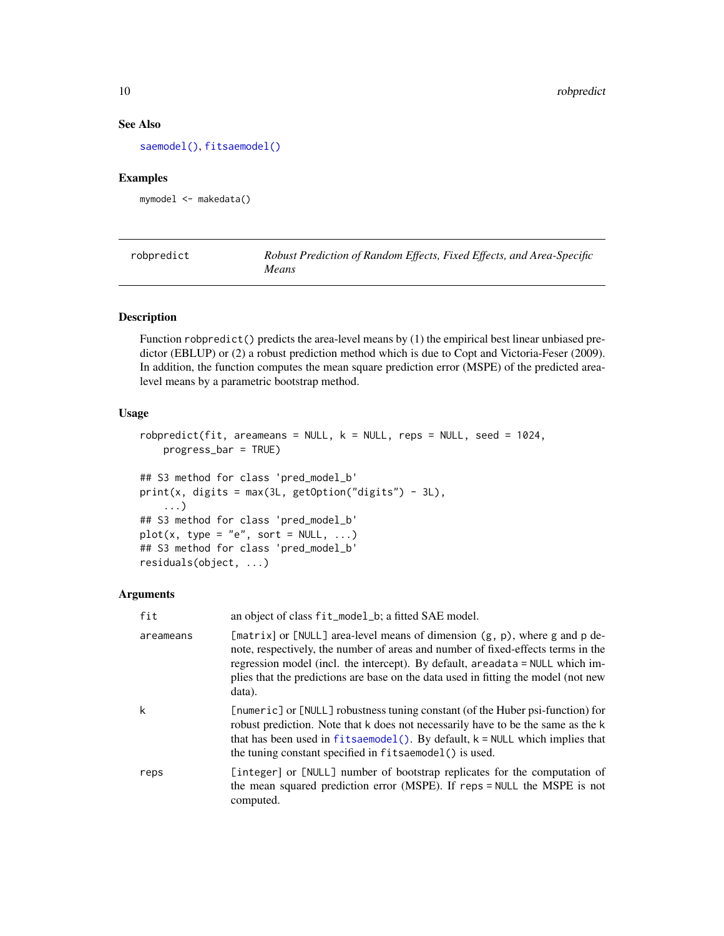# <span id="page-9-0"></span>See Also

[saemodel\(\)](#page-12-1), [fitsaemodel\(\)](#page-2-1)

# Examples

mymodel <- makedata()

<span id="page-9-1"></span>

| robpredict | Robust Prediction of Random Effects, Fixed Effects, and Area-Specific |
|------------|-----------------------------------------------------------------------|
|            | Means                                                                 |

# Description

Function robpredict() predicts the area-level means by (1) the empirical best linear unbiased predictor (EBLUP) or (2) a robust prediction method which is due to Copt and Victoria-Feser (2009). In addition, the function computes the mean square prediction error (MSPE) of the predicted arealevel means by a parametric bootstrap method.

# Usage

```
robpredict(fit, areameans = NULL, k = NULL, resps = NULL, seed = 1024,progress_bar = TRUE)
## S3 method for class 'pred_model_b'
print(x, digits = max(3L, getOption("digits") - 3L),...)
## S3 method for class 'pred_model_b'
plot(x, type = "e", sort = NULL, ...)## S3 method for class 'pred_model_b'
residuals(object, ...)
```

| fit       | an object of class fit_model_b; a fitted SAE model.                                                                                                                                                                                                                                                                                             |
|-----------|-------------------------------------------------------------------------------------------------------------------------------------------------------------------------------------------------------------------------------------------------------------------------------------------------------------------------------------------------|
| areameans | [matrix] or [NULL] area-level means of dimension (g, p), where g and p de-<br>note, respectively, the number of areas and number of fixed-effects terms in the<br>regression model (incl. the intercept). By default, areadata = NULL which im-<br>plies that the predictions are base on the data used in fitting the model (not new<br>data). |
| k         | [numeric] or [NULL] robustness tuning constant (of the Huber psi-function) for<br>robust prediction. Note that k does not necessarily have to be the same as the k<br>that has been used in $fitsa$ emodel(). By default, $k = NULL$ which implies that<br>the tuning constant specified in fitsaemodel() is used.                              |
| reps      | [integer] or [NULL] number of bootstrap replicates for the computation of<br>the mean squared prediction error (MSPE). If reps = NULL the MSPE is not<br>computed.                                                                                                                                                                              |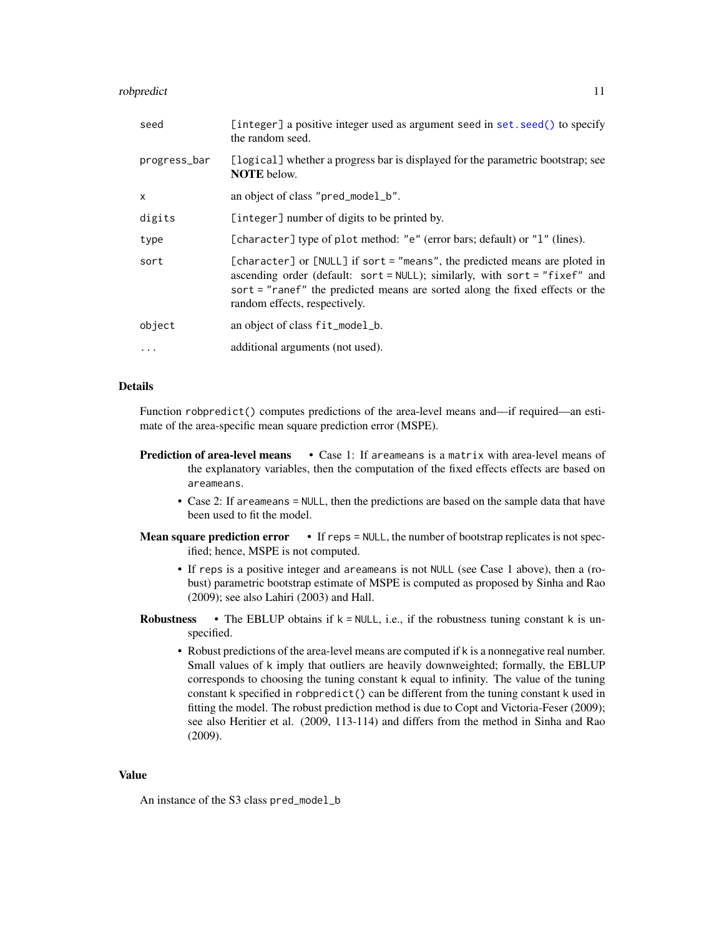# <span id="page-10-0"></span>robpredict the contract of the contract of the contract of the contract of the contract of the contract of the contract of the contract of the contract of the contract of the contract of the contract of the contract of the

| seed         | [integer] a positive integer used as argument seed in set. seed() to specify<br>the random seed.                                                                                                                                                                             |
|--------------|------------------------------------------------------------------------------------------------------------------------------------------------------------------------------------------------------------------------------------------------------------------------------|
| progress_bar | [logical] whether a progress bar is displayed for the parametric bootstrap; see<br><b>NOTE</b> below.                                                                                                                                                                        |
| $\mathsf{x}$ | an object of class "pred_model_b".                                                                                                                                                                                                                                           |
| digits       | [integer] number of digits to be printed by.                                                                                                                                                                                                                                 |
| type         | [character] type of plot method: "e" (error bars; default) or "1" (lines).                                                                                                                                                                                                   |
| sort         | [character] or [NULL] if sort = "means", the predicted means are ploted in<br>ascending order (default: sort = $NULL$ ); similarly, with sort = "fixef" and<br>sort = "ranef" the predicted means are sorted along the fixed effects or the<br>random effects, respectively. |
| object       | an object of class fit_model_b.                                                                                                                                                                                                                                              |
| .            | additional arguments (not used).                                                                                                                                                                                                                                             |

# Details

Function robpredict() computes predictions of the area-level means and—if required—an estimate of the area-specific mean square prediction error (MSPE).

- **Prediction of area-level means** Case 1: If areameans is a matrix with area-level means of the explanatory variables, then the computation of the fixed effects effects are based on areameans.
	- Case 2: If areameans = NULL, then the predictions are based on the sample data that have been used to fit the model.
- **Mean square prediction error**  $\cdot$  If reps = NULL, the number of bootstrap replicates is not specified; hence, MSPE is not computed.
	- If reps is a positive integer and areameans is not NULL (see Case 1 above), then a (robust) parametric bootstrap estimate of MSPE is computed as proposed by Sinha and Rao (2009); see also Lahiri (2003) and Hall.
- **Robustness** The EBLUP obtains if  $k = NULL$ , i.e., if the robustness tuning constant k is unspecified.
	- Robust predictions of the area-level means are computed if k is a nonnegative real number. Small values of k imply that outliers are heavily downweighted; formally, the EBLUP corresponds to choosing the tuning constant k equal to infinity. The value of the tuning constant k specified in robpredict() can be different from the tuning constant k used in fitting the model. The robust prediction method is due to Copt and Victoria-Feser (2009); see also Heritier et al. (2009, 113-114) and differs from the method in Sinha and Rao (2009).

# Value

An instance of the S3 class pred\_model\_b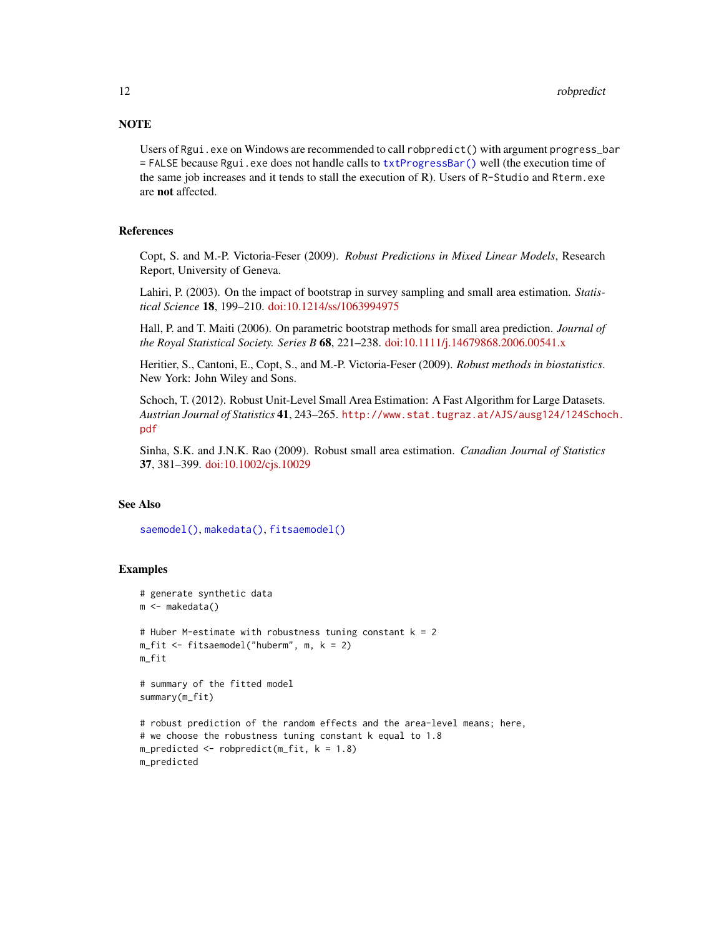# <span id="page-11-0"></span>**NOTE**

Users of Rgui.exe on Windows are recommended to call robpredict () with argument progress\_bar = FALSE because Rgui.exe does not handle calls to [txtProgressBar\(\)](#page-0-0) well (the execution time of the same job increases and it tends to stall the execution of R). Users of R-Studio and Rterm.exe are not affected.

# **References**

Copt, S. and M.-P. Victoria-Feser (2009). *Robust Predictions in Mixed Linear Models*, Research Report, University of Geneva.

Lahiri, P. (2003). On the impact of bootstrap in survey sampling and small area estimation. *Statistical Science* 18, 199–210. [doi:10.1214/ss/1063994975](https://doi.org/10.1214/ss/1063994975)

Hall, P. and T. Maiti (2006). On parametric bootstrap methods for small area prediction. *Journal of the Royal Statistical Society. Series B* 68, 221–238. [doi:10.1111/j.14679868.2006.00541.x](https://doi.org/10.1111/j.1467-9868.2006.00541.x)

Heritier, S., Cantoni, E., Copt, S., and M.-P. Victoria-Feser (2009). *Robust methods in biostatistics*. New York: John Wiley and Sons.

Schoch, T. (2012). Robust Unit-Level Small Area Estimation: A Fast Algorithm for Large Datasets. *Austrian Journal of Statistics* 41, 243–265. [http://www.stat.tugraz.at/AJS/ausg124/124Scho](http://www.stat.tugraz.at/AJS/ausg124/124Schoch.pdf)ch. [pdf](http://www.stat.tugraz.at/AJS/ausg124/124Schoch.pdf)

Sinha, S.K. and J.N.K. Rao (2009). Robust small area estimation. *Canadian Journal of Statistics* 37, 381–399. [doi:10.1002/cjs.10029](https://doi.org/10.1002/cjs.10029)

# See Also

[saemodel\(\)](#page-12-1), [makedata\(\)](#page-7-1), [fitsaemodel\(\)](#page-2-1)

# Examples

```
# generate synthetic data
m <- makedata()
# Huber M-estimate with robustness tuning constant k = 2m_fit \leq fitsaemodel("huberm", m, k = 2)
m_fit
# summary of the fitted model
summary(m_fit)
# robust prediction of the random effects and the area-level means; here,
# we choose the robustness tuning constant k equal to 1.8
m_predicted \leq robpredict(m_fit, k = 1.8)
m_predicted
```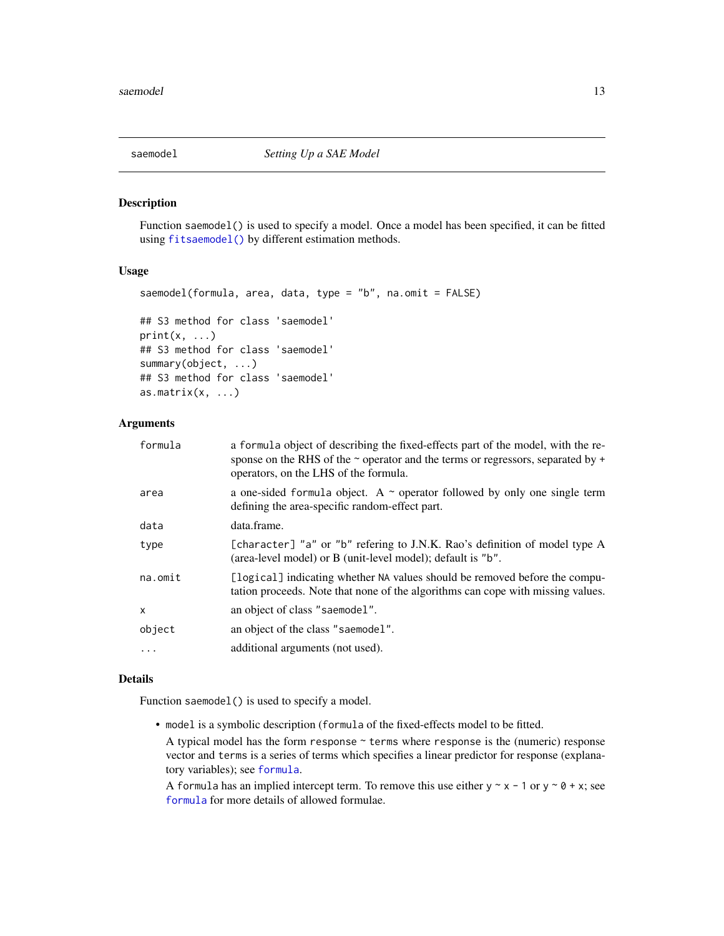<span id="page-12-1"></span><span id="page-12-0"></span>

# Description

Function saemodel() is used to specify a model. Once a model has been specified, it can be fitted using [fitsaemodel\(\)](#page-2-1) by different estimation methods.

# Usage

```
saemodel(formula, area, data, type = "b", na.omit = FALSE)
## S3 method for class 'saemodel'
print(x, \ldots)## S3 method for class 'saemodel'
summary(object, ...)
## S3 method for class 'saemodel'
as.matrix(x, \ldots)
```
# Arguments

| formula | a formula object of describing the fixed-effects part of the model, with the re-<br>sponse on the RHS of the $\sim$ operator and the terms or regressors, separated by $+$<br>operators, on the LHS of the formula. |
|---------|---------------------------------------------------------------------------------------------------------------------------------------------------------------------------------------------------------------------|
| area    | a one-sided formula object. A $\sim$ operator followed by only one single term<br>defining the area-specific random-effect part.                                                                                    |
| data    | data.frame.                                                                                                                                                                                                         |
| type    | [character] "a" or "b" refering to J.N.K. Rao's definition of model type A<br>(area-level model) or B (unit-level model); default is "b".                                                                           |
| na.omit | [logical] indicating whether NA values should be removed before the compu-<br>tation proceeds. Note that none of the algorithms can cope with missing values.                                                       |
| X       | an object of class "saemodel".                                                                                                                                                                                      |
| object  | an object of the class "saemodel".                                                                                                                                                                                  |
| .       | additional arguments (not used).                                                                                                                                                                                    |
|         |                                                                                                                                                                                                                     |

#### Details

Function saemodel() is used to specify a model.

• model is a symbolic description (formula of the fixed-effects model to be fitted.

A typical model has the form response ~ terms where response is the (numeric) response vector and terms is a series of terms which specifies a linear predictor for response (explanatory variables); see [formula](#page-0-0).

A formula has an implied intercept term. To remove this use either  $y \sim x - 1$  or  $y \sim \theta + x$ ; see [formula](#page-0-0) for more details of allowed formulae.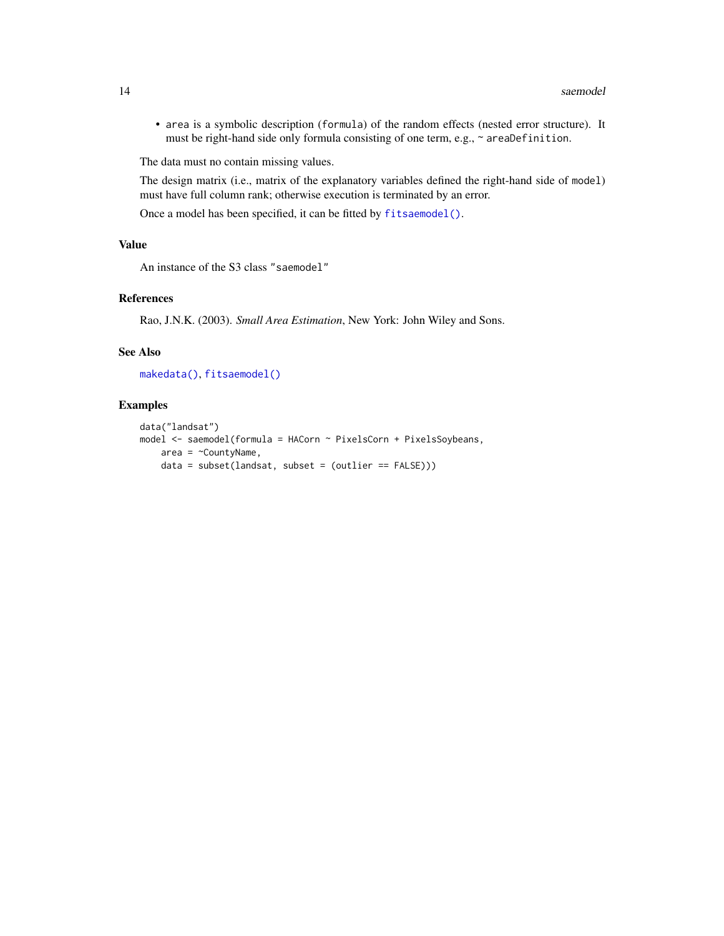<span id="page-13-0"></span>• area is a symbolic description (formula) of the random effects (nested error structure). It must be right-hand side only formula consisting of one term, e.g., ~ areaDefinition.

The data must no contain missing values.

The design matrix (i.e., matrix of the explanatory variables defined the right-hand side of model) must have full column rank; otherwise execution is terminated by an error.

Once a model has been specified, it can be fitted by [fitsaemodel\(\)](#page-2-1).

#### Value

An instance of the S3 class "saemodel"

# References

Rao, J.N.K. (2003). *Small Area Estimation*, New York: John Wiley and Sons.

## See Also

[makedata\(\)](#page-7-1), [fitsaemodel\(\)](#page-2-1)

#### Examples

```
data("landsat")
model <- saemodel(formula = HACorn ~ PixelsCorn + PixelsSoybeans,
   area = \simCountyName,
   data = subset(lambda, subset = (outlier == FALSE)))
```